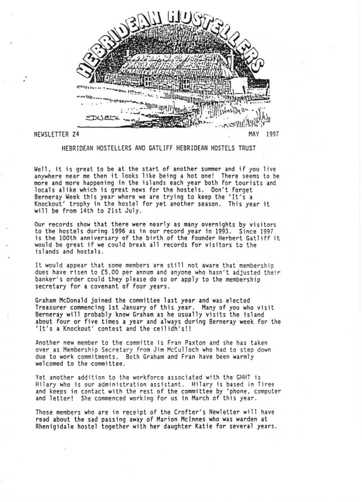

HEBR1DEAN HDSTEllERS AND GATLIFF HEBRIDEAN HOSTELS TRUST

Well, it is great to be at the start of another summer and if you live anywhere near me then it looks like being a hot one! There seems to be more and more happening in the islands each year both for tourists and locals alike which is great news for the hostels. Don't forget Berneray Week this year where we are trying to keep the 'It's a Knockout' trophy in the hostel for yet another season. This year it will be from 14th to 21st July.

Our records show that there were nearly as many overnights by visitors to the hostels during 1996 as in our record year in 1993. Since 1997 is the 100th anniversary of the birth of the founder Herbert Gatliff it would be great if we could break all records for visitors to the islands and hostels.

It would appear that some members are still not aware that membership dues have risen to £5 .00 per annum and anyone who hasn't adjusted their banker's order could they please do so or apply to the membership secretary for a covenant of four years.

Graham McDonald joined the committee last year and was elected Treasurer commencing 1st January of this year. Many of you who visit Berneray will probably know Graham as he usually visits the island about four or five times a year and always during Berneray week for the 'It's a Knockout' contest and the ceilidh's!!

Another new member to the committe is Fran Paxton and she has taken over as Membership Secretary from Jim McCulloch who had to step down due to work commitments. Both Graham and Fran have been warmly welcomed to the committee.

Yet another addition to the workforce associated with the GHHT is Hilary who is our administration assistant. Hilary is based in Tiree and keeps in contact with the rest of the committee by 'phone, computer and letter! She commenced working for us in March of this year.

Those members who are in receipt of the Crofter's Newletter will have read about the sad passing away of Marion McInnes who was warden at Rhenigidale hostel together with her daughter Katie for several years.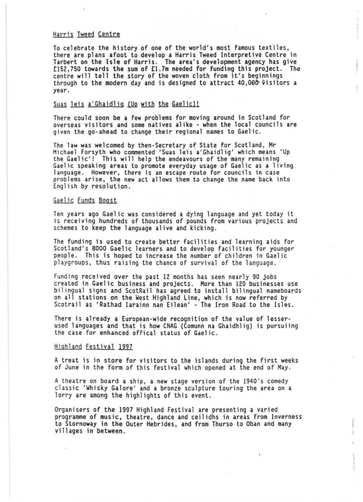## Harris Tweed Centre

To celebrate the history of one of the world's most famous textiles, there are plans afoot to develop a Harris Tweed Interpretive Centre in Tarbert on the Isle of Harris. The area's development agency has give £152,750 towards the sum of £1.7m needed for funding this project. The centre will tell the story of the woven cloth from it's beginnings through to the modern day and is designed to attract  $40,000$  visitors a year.

# Suas leis a'Ghaidlig *(Up with the Gaelic)!*

There could soon be a few problems for moving around in Scotland for overseas visitors and some natives alike - when the local councils are given the go-ahead to change their regional names to Gaelic.

The law was welcomed by then-Secretary of State for Scotland, Mr Michael Forsyth who commented 'Suas leis a'Ghaidlig' which means 'Up the Gaelic'! This will help the endeavours of the many remaining Gaelic speaking areas to promote everyday usage of Gaelic as a living<br>language. However, there is an escape route for councils in case<br>problems arise, the new act allows them to change the name back into English by resolution."

# Gaelic Funds Boost

Ten years ago Gael ic was considered a dying language and yet today it is receiving hundreds of thousands of pounds from various projects and schemes to keep the language alive and kicking .

The funding is used to create better facilities and learning aids for Scotland's BOOO Gaelic learners and to develop facilities for younger people. This is hoped to increase the number of children in Gaelic playgroups, thus raising the chance of survival of the language.

Funding received over the past 12 months has seen nearly 90 jobs created in Gaelic business and projects. More than 120 businesses use<br>bilingual signs and ScotRail has agreed to install bilingual nameboards on all stations on the West Highland Line, which is now referred by Scotrail as 'Rathad Iarainn nan Eilean' - The Iron Road to the Isles.

There is already a European-wide recognition of the value of lesserused languages and that is how CNAG (Comunn na Ghaidhlig) is pursuiing the case for enhanced offical status of Gaelic .

### Hiahland Festival 1997

A treat is in store for visitors to the islands during the first weeks of June in the form of this festival which opened at the end of May .

A theatre on board a ship, a new stage version of the 1940's comedy classic 'Whisky Galore' and a bronze sculpture touring the area on a lorry are among the highlights of this event.

Organisers of the 1997 Highland Festival are presenting a varied programme of music, theatre, dance and ceilidhs in areas from Inverness to Stornoway in the Outer Hebrides, and from Thurso to Oban and many villages in between.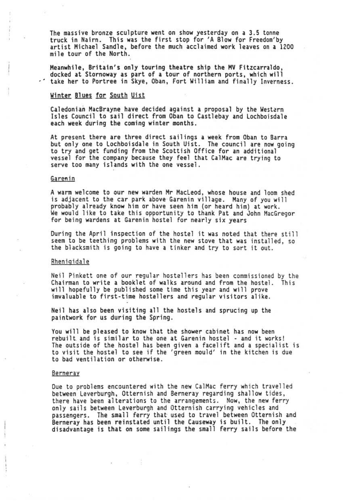The massive bronze sculpture went on show yesterday on a 3.5 tonne truck in Nairn. This was the first stop for 'A Blow for Freedom'by artist Michael Sandle, before the much acclaimed work leaves on a 1200 mile tour of the North .

Meanwhile, Britain's only touring theatre ship the MV Fitzcarraldo, docked at Stornoway as part of a tour of northern ports, which will .' take her to Portree in Skye, Oban, Fort William and finally Inverness.

#### Winter Blues for South Uist

Caledonian MacBrayne have decided against a proposal by the Western Isles Council to sail direct from Oban to Castlebay and lochboisdale each week during the coming winter months.

At present there are three direct sailings a week from Oban to Barra but only one to lochboisdale in South Uist. The council are now going to try and get funding from the Scottish Office for an additional vessel for the company because they feel that CalMac are trying to<br>serve too many islands with the one vessel.

## Garenin

A warm welcome to our new warden Mr Macleod, whose house and loom shed is adjacent to the car park above Garenin village. Many of you will<br>probably already know him or have seen him (or heard him) at work. We would like to take this opportunity to thank Pat and John MacGregor<br>for being wardens at Garenin hostel for nearly six years

During the April inspection of the hostel it was noted that there still seem to be teething problems with the new stove that was installed, so the blacksmith is going to have a tinker and try to sort it out .

### Rhenigidale

Neil Pinkett one of our regular hostellers has been commissioned by the Chairman to write a booklet of walks around and from the hostel. This will hopefully be published some time this year and will prove imvaluable to first-time hostellers and regular visitors alike.

Neil has also been visiting all the hostels and sprucing up the paintwork for us during the Spring.

You will be pleased to know that the shower cabinet has now been rebuilt and is similar to the one at Garenin hostel - and it works! The outside of the hostel has been given a facelift and a specialist is to visit the hostel to see if the 'green mould' in the kitchen is due to bad ventilation or otherwise.

#### Berneray

Due to problems encountered with the new CalMac ferry which travelled between leverburgh, Otternish and Berneray regarding shallow tides, there have been alterations to the arrangements. Now, the new ferry only sails between leverburgh and Otternish carrying vehicles and passengers. The small ferry that used to travel between Otternish and<br>Berneray has been reinstated until the Causeway is built. The only disadvantage is that on some sailings the small ferry sails before the